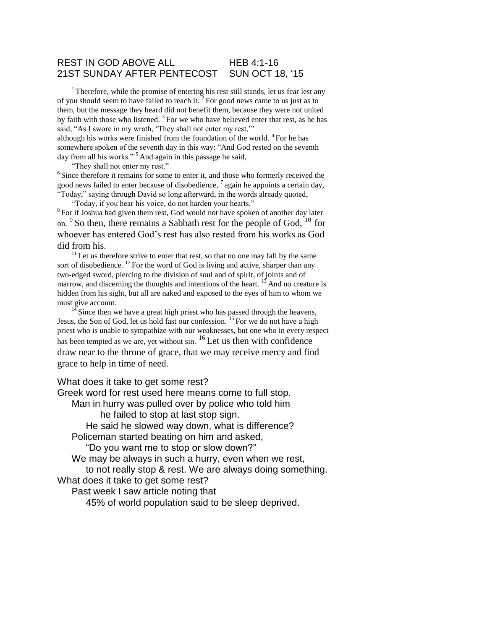#### REST IN GOD ABOVE ALL HEB 4:1-16 21ST SUNDAY AFTER PENTECOST SUN OCT 18, '15

 $1$ <sup>1</sup> Therefore, while the promise of entering his rest still stands, let us fear lest any of you should seem to have failed to reach it.  $2$  For good news came to us just as to them, but the message they heard did not benefit them, because they were not united by faith with those who listened.  $3$  For we who have believed enter that rest, as he has said, "As I swore in my wrath, 'They shall not enter my rest,"" although his works were finished from the foundation of the world. <sup>4</sup>For he has somewhere spoken of the seventh day in this way: "And God rested on the seventh

day from all his works."<sup>5</sup> And again in this passage he said,

"They shall not enter my rest."

 $6$  Since therefore it remains for some to enter it, and those who formerly received the good news failed to enter because of disobedience,  $\frac{7}{4}$  again he appoints a certain day, "Today," saying through David so long afterward, in the words already quoted,

"Today, if you hear his voice, do not harden your hearts."

<sup>8</sup> For if Joshua had given them rest, God would not have spoken of another day later on.  $9$  So then, there remains a Sabbath rest for the people of God,  $10$  for whoever has entered God's rest has also rested from his works as God did from his.

 $11$  Let us therefore strive to enter that rest, so that no one may fall by the same sort of disobedience.  $^{12}$  For the word of God is living and active, sharper than any two-edged sword, piercing to the division of soul and of spirit, of joints and of marrow, and discerning the thoughts and intentions of the heart. <sup>13</sup> And no creature is hidden from his sight, but all are naked and exposed to the eyes of him to whom we must give account.

 $\frac{1}{3}$ Since then we have a great high priest who has passed through the heavens, Jesus, the Son of God, let us hold fast our confession. <sup>15</sup> For we do not have a high priest who is unable to sympathize with our weaknesses, but one who in every respect has been tempted as we are, yet without sin. <sup>16</sup>Let us then with confidence draw near to the throne of grace, that we may receive mercy and find grace to help in time of need.

What does it take to get some rest?

Greek word for rest used here means come to full stop. Man in hurry was pulled over by police who told him he failed to stop at last stop sign. He said he slowed way down, what is difference? Policeman started beating on him and asked, "Do you want me to stop or slow down?" We may be always in such a hurry, even when we rest, to not really stop & rest. We are always doing something. What does it take to get some rest? Past week I saw article noting that 45% of world population said to be sleep deprived.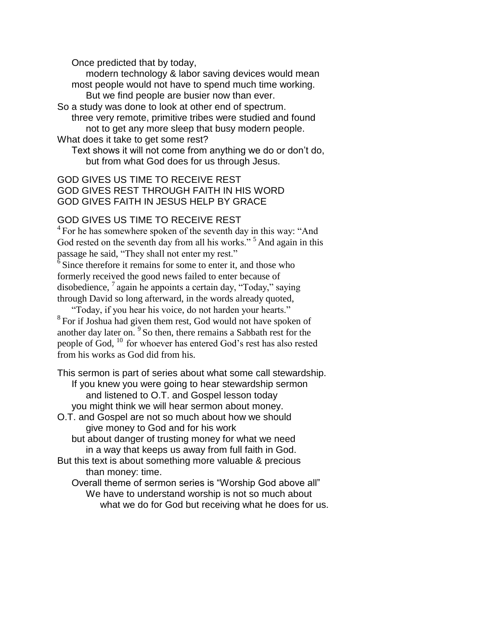Once predicted that by today,

modern technology & labor saving devices would mean most people would not have to spend much time working. But we find people are busier now than ever.

So a study was done to look at other end of spectrum. three very remote, primitive tribes were studied and found not to get any more sleep that busy modern people. What does it take to get some rest?

Text shows it will not come from anything we do or don't do, but from what God does for us through Jesus.

## GOD GIVES US TIME TO RECEIVE REST GOD GIVES REST THROUGH FAITH IN HIS WORD GOD GIVES FAITH IN JESUS HELP BY GRACE

## GOD GIVES US TIME TO RECEIVE REST

<sup>4</sup> For he has somewhere spoken of the seventh day in this way: "And God rested on the seventh day from all his works."<sup>5</sup> And again in this passage he said, "They shall not enter my rest."

 $6$  Since therefore it remains for some to enter it, and those who formerly received the good news failed to enter because of disobedience,  $\frac{7}{4}$  again he appoints a certain day, "Today," saying through David so long afterward, in the words already quoted,

"Today, if you hear his voice, do not harden your hearts." <sup>8</sup> For if Joshua had given them rest, God would not have spoken of another day later on. <sup>9</sup> So then, there remains a Sabbath rest for the people of God,  $^{10}$  for whoever has entered God's rest has also rested from his works as God did from his.

This sermon is part of series about what some call stewardship. If you knew you were going to hear stewardship sermon and listened to O.T. and Gospel lesson today you might think we will hear sermon about money.

O.T. and Gospel are not so much about how we should give money to God and for his work but about danger of trusting money for what we need

in a way that keeps us away from full faith in God.

But this text is about something more valuable & precious than money: time.

Overall theme of sermon series is "Worship God above all" We have to understand worship is not so much about what we do for God but receiving what he does for us.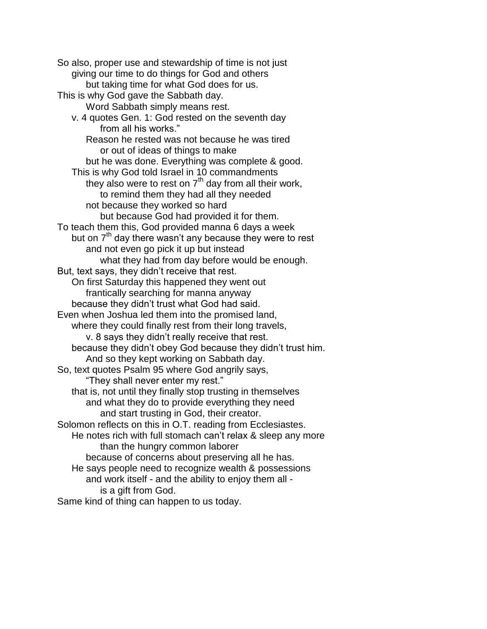So also, proper use and stewardship of time is not just giving our time to do things for God and others but taking time for what God does for us. This is why God gave the Sabbath day. Word Sabbath simply means rest. v. 4 quotes Gen. 1: God rested on the seventh day from all his works." Reason he rested was not because he was tired or out of ideas of things to make but he was done. Everything was complete & good. This is why God told Israel in 10 commandments they also were to rest on  $7<sup>th</sup>$  day from all their work, to remind them they had all they needed not because they worked so hard but because God had provided it for them. To teach them this, God provided manna 6 days a week but on  $7<sup>th</sup>$  day there wasn't any because they were to rest and not even go pick it up but instead what they had from day before would be enough. But, text says, they didn't receive that rest. On first Saturday this happened they went out frantically searching for manna anyway because they didn't trust what God had said. Even when Joshua led them into the promised land, where they could finally rest from their long travels, v. 8 says they didn't really receive that rest. because they didn't obey God because they didn't trust him. And so they kept working on Sabbath day. So, text quotes Psalm 95 where God angrily says, "They shall never enter my rest." that is, not until they finally stop trusting in themselves and what they do to provide everything they need and start trusting in God, their creator. Solomon reflects on this in O.T. reading from Ecclesiastes. He notes rich with full stomach can't relax & sleep any more than the hungry common laborer because of concerns about preserving all he has. He says people need to recognize wealth & possessions and work itself - and the ability to enjoy them all is a gift from God. Same kind of thing can happen to us today.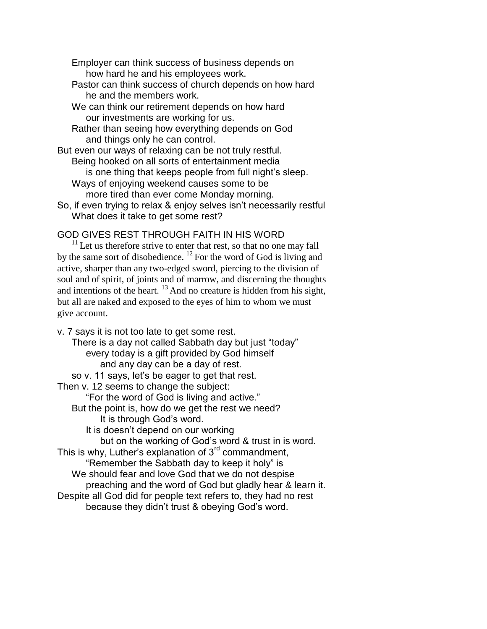Employer can think success of business depends on how hard he and his employees work.

- Pastor can think success of church depends on how hard he and the members work.
- We can think our retirement depends on how hard our investments are working for us.
- Rather than seeing how everything depends on God and things only he can control.

But even our ways of relaxing can be not truly restful. Being hooked on all sorts of entertainment media is one thing that keeps people from full night's sleep. Ways of enjoying weekend causes some to be

- more tired than ever come Monday morning.
- So, if even trying to relax & enjoy selves isn't necessarily restful What does it take to get some rest?

# GOD GIVES REST THROUGH FAITH IN HIS WORD

 $11$  Let us therefore strive to enter that rest, so that no one may fall by the same sort of disobedience.  $^{12}$  For the word of God is living and active, sharper than any two-edged sword, piercing to the division of soul and of spirit, of joints and of marrow, and discerning the thoughts and intentions of the heart.  $^{13}$  And no creature is hidden from his sight, but all are naked and exposed to the eyes of him to whom we must give account.

v. 7 says it is not too late to get some rest. There is a day not called Sabbath day but just "today" every today is a gift provided by God himself and any day can be a day of rest. so v. 11 says, let's be eager to get that rest. Then v. 12 seems to change the subject: "For the word of God is living and active." But the point is, how do we get the rest we need? It is through God's word. It is doesn't depend on our working but on the working of God's word & trust in is word. This is why, Luther's explanation of  $3<sup>rd</sup>$  commandment, "Remember the Sabbath day to keep it holy" is We should fear and love God that we do not despise preaching and the word of God but gladly hear & learn it. Despite all God did for people text refers to, they had no rest because they didn't trust & obeying God's word.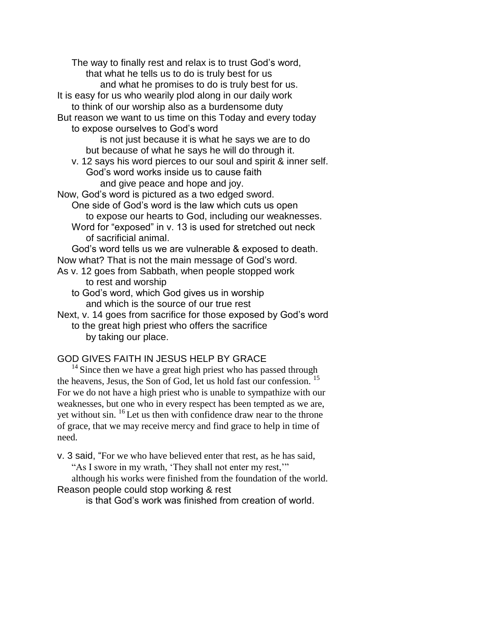The way to finally rest and relax is to trust God's word, that what he tells us to do is truly best for us and what he promises to do is truly best for us. It is easy for us who wearily plod along in our daily work to think of our worship also as a burdensome duty But reason we want to us time on this Today and every today to expose ourselves to God's word is not just because it is what he says we are to do but because of what he says he will do through it. v. 12 says his word pierces to our soul and spirit & inner self. God's word works inside us to cause faith and give peace and hope and joy. Now, God's word is pictured as a two edged sword. One side of God's word is the law which cuts us open to expose our hearts to God, including our weaknesses. Word for "exposed" in v. 13 is used for stretched out neck of sacrificial animal. God's word tells us we are vulnerable & exposed to death. Now what? That is not the main message of God's word. As v. 12 goes from Sabbath, when people stopped work to rest and worship to God's word, which God gives us in worship and which is the source of our true rest Next, v. 14 goes from sacrifice for those exposed by God's word to the great high priest who offers the sacrifice by taking our place. GOD GIVES FAITH IN JESUS HELP BY GRACE

 $14$  Since then we have a great high priest who has passed through the heavens, Jesus, the Son of God, let us hold fast our confession. <sup>15</sup> For we do not have a high priest who is unable to sympathize with our weaknesses, but one who in every respect has been tempted as we are, yet without sin. <sup>16</sup> Let us then with confidence draw near to the throne of grace, that we may receive mercy and find grace to help in time of need.

v. 3 said, "For we who have believed enter that rest, as he has said,

"As I swore in my wrath, 'They shall not enter my rest,'"

although his works were finished from the foundation of the world. Reason people could stop working & rest

is that God's work was finished from creation of world.